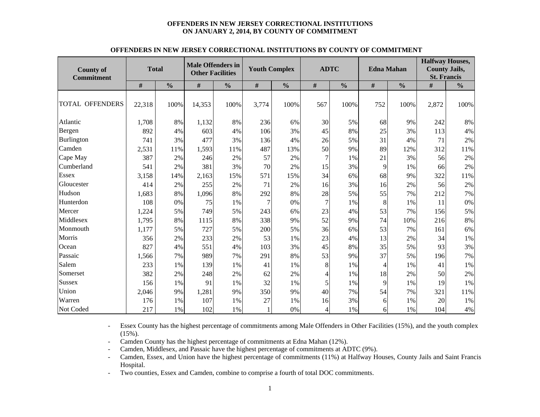#### **OFFENDERS IN NEW JERSEY CORRECTIONAL INSTITUTIONS ON JANUARY 2, 2014, BY COUNTY OF COMMITMENT**

| <b>County of</b><br><b>Commitment</b> | <b>Total</b> |               | <b>Male Offenders in</b><br><b>Other Facilities</b> |               | <b>Youth Complex</b> |               |     | <b>ADTC</b>   | <b>Edna Mahan</b> |               | <b>Halfway Houses,</b><br><b>County Jails,</b><br><b>St. Francis</b> |               |  |
|---------------------------------------|--------------|---------------|-----------------------------------------------------|---------------|----------------------|---------------|-----|---------------|-------------------|---------------|----------------------------------------------------------------------|---------------|--|
|                                       | #            | $\frac{0}{0}$ | #                                                   | $\frac{0}{0}$ | #                    | $\frac{0}{0}$ | #   | $\frac{0}{0}$ | $\#$              | $\frac{0}{0}$ | #                                                                    | $\frac{0}{0}$ |  |
| <b>TOTAL OFFENDERS</b>                | 22,318       | 100%          | 14,353                                              | 100%          | 3,774                | 100%          | 567 | 100%          | 752               | 100%          | 2,872                                                                | 100%          |  |
| Atlantic                              | 1,708        | 8%            | 1,132                                               | 8%            | 236                  | 6%            | 30  | 5%            | 68                | 9%            | 242                                                                  | 8%            |  |
| Bergen                                | 892          | 4%            | 603                                                 | 4%            | 106                  | 3%            | 45  | 8%            | 25                | 3%            | 113                                                                  | 4%            |  |
| Burlington                            | 741          | 3%            | 477                                                 | 3%            | 136                  | 4%            | 26  | 5%            | 31                | 4%            | 71                                                                   | 2%            |  |
| Camden                                | 2,531        | 11%           | 1,593                                               | 11%           | 487                  | 13%           | 50  | 9%            | 89                | 12%           | 312                                                                  | 11%           |  |
| Cape May                              | 387          | 2%            | 246                                                 | 2%            | 57                   | 2%            | 7   | 1%            | 21                | 3%            | 56                                                                   | 2%            |  |
| Cumberland                            | 541          | 2%            | 381                                                 | 3%            | 70                   | 2%            | 15  | 3%            | 9                 | $1\%$         | 66                                                                   | 2%            |  |
| <b>Essex</b>                          | 3,158        | 14%           | 2,163                                               | 15%           | 571                  | 15%           | 34  | 6%            | 68                | 9%            | 322                                                                  | 11%           |  |
| Gloucester                            | 414          | 2%            | 255                                                 | 2%            | 71                   | 2%            | 16  | 3%            | 16                | 2%            | 56                                                                   | 2%            |  |
| Hudson                                | 1,683        | 8%            | 1,096                                               | 8%            | 292                  | 8%            | 28  | 5%            | 55                | 7%            | 212                                                                  | 7%            |  |
| Hunterdon                             | 108          | 0%            | 75                                                  | 1%            | $\overline{7}$       | 0%            | 7   | 1%            | 8                 | 1%            | 11                                                                   | 0%            |  |
| Mercer                                | 1,224        | 5%            | 749                                                 | 5%            | 243                  | 6%            | 23  | 4%            | 53                | 7%            | 156                                                                  | 5%            |  |
| Middlesex                             | 1,795        | 8%            | 1115                                                | 8%            | 338                  | 9%            | 52  | 9%            | 74                | 10%           | 216                                                                  | 8%            |  |
| Monmouth                              | 1,177        | 5%            | 727                                                 | 5%            | 200                  | 5%            | 36  | 6%            | 53                | 7%            | 161                                                                  | 6%            |  |
| Morris                                | 356          | 2%            | 233                                                 | 2%            | 53                   | 1%            | 23  | 4%            | 13                | 2%            | 34                                                                   | 1%            |  |
| Ocean                                 | 827          | 4%            | 551                                                 | 4%            | 103                  | 3%            | 45  | 8%            | 35                | 5%            | 93                                                                   | 3%            |  |
| Passaic                               | 1,566        | 7%            | 989                                                 | 7%            | 291                  | 8%            | 53  | 9%            | 37                | 5%            | 196                                                                  | 7%            |  |
| Salem                                 | 233          | 1%            | 139                                                 | 1%            | 41                   | 1%            | 8   | 1%            | $\overline{4}$    | 1%            | 41                                                                   | 1%            |  |
| Somerset                              | 382          | 2%            | 248                                                 | 2%            | 62                   | 2%            | 4   | 1%            | 18                | 2%            | 50                                                                   | 2%            |  |
| Sussex                                | 156          | 1%            | 91                                                  | 1%            | 32                   | 1%            | 5   | 1%            | 9                 | 1%            | 19                                                                   | 1%            |  |
| Union                                 | 2,046        | 9%            | 1,281                                               | 9%            | 350                  | 9%            | 40  | 7%            | 54                | 7%            | 321                                                                  | 11%           |  |
| Warren                                | 176          | 1%            | 107                                                 | 1%            | 27                   | 1%            | 16  | 3%            | 6                 | 1%            | 20                                                                   | 1%            |  |
| Not Coded                             | 217          | 1%            | 102                                                 | 1%            | $\mathbf{1}$         | 0%            | 4   | 1%            | 6                 | 1%            | 104                                                                  | 4%            |  |

#### **OFFENDERS IN NEW JERSEY CORRECTIONAL INSTITUTIONS BY COUNTY OF COMMITMENT**

- Essex County has the highest percentage of commitments among Male Offenders in Other Facilities (15%), and the youth complex  $(15\%)$ .

-Camden County has the highest percentage of commitments at Edna Mahan (12%).

-Camden, Middlesex, and Passaic have the highest percentage of commitments at ADTC (9%).

- Camden, Essex, and Union have the highest percentage of commitments (11%) at Halfway Houses, County Jails and Saint Francis Hospital.

-Two counties, Essex and Camden, combine to comprise a fourth of total DOC commitments.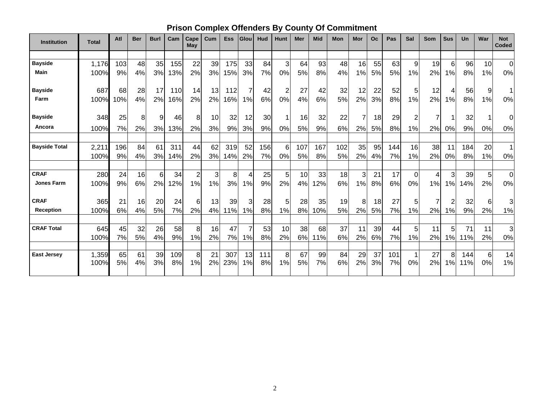|  |  |  | <b>Prison Complex Offenders By County Of Commitment</b> |
|--|--|--|---------------------------------------------------------|
|--|--|--|---------------------------------------------------------|

| <b>Institution</b>   | <b>Total</b> | Atl | <b>Ber</b> | <b>Burl</b> | Cam | Cape<br>May             | Cum | <b>Ess</b> | Glou           | Hud | <b>Hunt</b>    | Mer | <b>Mid</b> | Mon | Mor | <b>Oc</b> | Pas | Sal         | <b>Som</b> | <b>Sus</b>     | Un  | War | <b>Not</b><br><b>Coded</b> |
|----------------------|--------------|-----|------------|-------------|-----|-------------------------|-----|------------|----------------|-----|----------------|-----|------------|-----|-----|-----------|-----|-------------|------------|----------------|-----|-----|----------------------------|
|                      |              |     |            |             |     |                         |     |            |                |     |                |     |            |     |     |           |     |             |            |                |     |     |                            |
| <b>Bayside</b>       | 1,176        | 103 | 48         | 35          | 155 | 22                      | 39  | 175        | 33             | 84  | 3              | 64  | 93         | 48  | 16  | 55        | 63  | 9           | 19         | 6              | 96  | 10  | $\mathbf 0$                |
| <b>Main</b>          | 100%         | 9%  | 4%         | 3%          | 13% | 2%                      | 3%  | 15%        | 3%             | 7%  | 0%             | 5%  | 8%         | 4%  | 1%  | 5%        | 5%  | 1%          | 2%         | 1%             | 8%  | 1%  | 0%                         |
| <b>Bayside</b>       | 687          | 68  | 28         | 17          | 110 | 14                      | 13  | 112        | 7              | 42  | 2              | 27  | 42         | 32  | 12  | 22        | 52  | 5           | 12         | 4              | 56  | 9   | 1                          |
| Farm                 | 100%         | 10% | 4%         | 2%          | 16% | 2%                      | 2%  | 16%        | 1%             | 6%  | 0%             | 4%  | 6%         | 5%  | 2%  | 3%        | 8%  | 1%          | 2%         | 1%             | 8%  | 1%  | $0\%$                      |
| <b>Bayside</b>       | 348          | 25  | 8          | 9           | 46  | 8                       | 10  | 32         | 12             | 30  | 1              | 16  | 32         | 22  | 7   | 18        | 29  | 2           | 7          |                | 32  |     | 0                          |
| Ancora               | 100%         | 7%  | 2%         | 3%          | 13% | 2%                      | 3%  | 9%         | 3%             | 9%  | 0%             | 5%  | 9%         | 6%  | 2%  | 5%        | 8%  | 1%          | 2%         | 0%             | 9%  | 0%  | 0%                         |
| <b>Bayside Total</b> | 2,211        | 196 | 84         | 61          | 311 | 44                      | 62  | 319        | 52             | 156 | 6              | 107 | 167        | 102 | 35  | 95        | 144 | 16          | 38         | 11             | 184 | 20  | $\mathbf 1$                |
|                      | 100%         | 9%  | 4%         | 3%          | 14% | 2%                      | 3%  | 14%        | 2%             | 7%  | 0%             | 5%  | 8%         | 5%  | 2%  | 4%        | 7%  | 1%          | 2%         | 0%             | 8%  | 1%  | 0%                         |
|                      |              |     |            |             |     |                         |     |            |                |     |                |     |            |     |     |           |     |             |            |                |     |     |                            |
| <b>CRAF</b>          | 280          | 24  | 16         | 6           | 34  | $\overline{\mathbf{c}}$ | 3   | 8          | 4              | 25  | 5 <sub>5</sub> | 10  | 33         | 18  | 3   | 21        | 17  | $\mathbf 0$ | 4          | 3              | 39  | 5   | $\pmb{0}$                  |
| <b>Jones Farm</b>    | 100%         | 9%  | 6%         | 2%          | 12% | 1%                      | 1%  | 3%         | 1%             | 9%  | 2%             | 4%  | 12%        | 6%  | 1%  | 8%        | 6%  | 0%          | 1%         | 1%             | 14% | 2%  | 0%                         |
| <b>CRAF</b>          | 365          | 21  | 16         | 20          | 24  | 6                       | 13  | 39         | 3              | 28  | 5 <sub>l</sub> | 28  | 35         | 19  | 8   | 18        | 27  | 5           | 7          | $\overline{2}$ | 32  | 6   | 3                          |
| <b>Reception</b>     | 100%         | 6%  | 4%         | 5%          | 7%  | 2%                      | 4%  | 11%        | 1%             | 8%  | 1%             | 8%  | 10%        | 5%  | 2%  | 5%        | 7%  | 1%          | 2%         | 1%             | 9%  | 2%  | 1%                         |
| <b>CRAF Total</b>    | 645          | 45  | 32         | 26          | 58  | 8                       | 16  | 47         | $\overline{7}$ | 53  | 10             | 38  | 68         | 37  | 11  | 39        | 44  | 5           | 11         | 5              | 71  | 11  | 3                          |
|                      | 100%         | 7%  | 5%         | 4%          | 9%  | 1%                      | 2%  | 7%         | 1%             | 8%  | 2%             | 6%  | 11%        | 6%  | 2%  | 6%        | 7%  | 1%          | 2%         | 1%             | 11% | 2%  | 0%                         |
|                      |              |     |            |             |     |                         |     |            |                |     |                |     |            |     |     |           |     |             |            |                |     |     |                            |
| <b>East Jersey</b>   | 1,359        | 65  | 61         | 39          | 109 | 8                       | 21  | 307        | 13             | 111 | 8 <sup>1</sup> | 67  | 99         | 84  | 29  | 37        | 101 | 1           | 27         | 8              | 144 | 6   | 14                         |
|                      | 100%         | 5%  | 4%         | 3%          | 8%  | 1%                      | 2%  | 23%        | 1%             | 8%  | 1%             | 5%  | 7%         | 6%  | 2%  | 3%        | 7%  | 0%          | 2%         | 1%             | 11% | 0%  | 1%                         |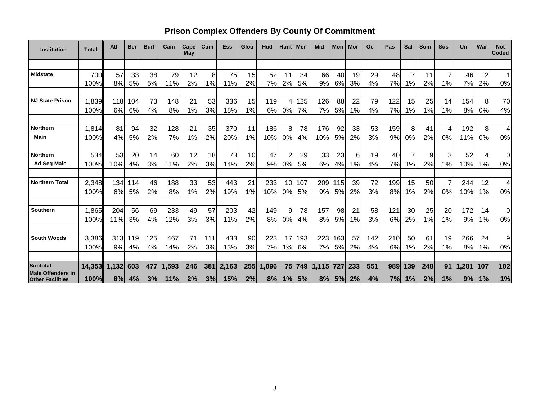## **Prison Complex Offenders By County Of Commitment**

| <b>Institution</b>                                  | <b>Total</b> | Atl   | <b>Ber</b> | <b>Burl</b> | Cam   | Cape<br>May | $_{\text{Cum}}$ | <b>Ess</b> | Glou | Hud  | <b>Hunt</b> | Mer | <b>Mid</b>      | <b>Mon</b> | Mor | Oc  | Pas | Sal | Som | <b>Sus</b>     | Un    | War | <b>Not</b><br>Coded |
|-----------------------------------------------------|--------------|-------|------------|-------------|-------|-------------|-----------------|------------|------|------|-------------|-----|-----------------|------------|-----|-----|-----|-----|-----|----------------|-------|-----|---------------------|
|                                                     |              |       |            |             |       |             |                 |            |      |      |             |     |                 |            |     |     |     |     |     |                |       |     |                     |
| <b>Midstate</b>                                     | 700          | 57    | 33         | 38          | 79    | 12          | 8               | 75         | 15   | 52   | 11          | 34  | 66              | 40         | 19  | 29  | 48  | 7   | 11  |                | 46    | 12  | 1                   |
|                                                     | 100%         | 8%    | 5%         | 5%          | 11%   | 2%          | 1%              | 11%        | 2%   | 7%   | 2%          | 5%  | 9%              | 6%         | 3%  | 4%  | 7%  | 1%  | 2%  | 1%             | 7%    | 2%  | 0%                  |
|                                                     |              |       |            |             |       |             |                 |            |      |      |             |     |                 |            |     |     |     |     |     |                |       |     |                     |
| <b>NJ State Prison</b>                              | 1,839        | 118   | 104        | 73          | 148   | 21          | 53              | 336        | 15   | 119  | 4           | 125 | 126             | 88         | 22  | 79  | 122 | 15  | 25  | 14             | 154   | 8   | 70                  |
|                                                     | 100%         | 6%    | 6%         | 4%          | 8%    | 1%          | 3%              | 18%        | 1%   | 6%   | 0%          | 7%  | 7%              | 5%         | 1%  | 4%  | 7%  | 1%  | 1%  | 1%             | 8%    | 0%  | 4%                  |
|                                                     |              |       |            |             |       |             |                 |            |      |      |             |     |                 |            |     |     |     |     |     |                |       |     |                     |
| <b>Northern</b>                                     | 1,814        | 81    | 94         | 32          | 128   | 21          | 35              | 370        | 11   | 186  | 8           | 78  | 176             | 92         | 33  | 53  | 159 | 8   | 41  | 4              | 192   | 8   | $\overline{4}$      |
| <b>Main</b>                                         | 100%         | 4%    | 5%         | 2%          | 7%    | 1%          | 2%              | 20%        | 1%   | 10%  | 0%          | 4%  | 10%             | 5%         | 2%  | 3%  | 9%  | 0%  | 2%  | 0%             | 11%   | 0%  | 0%                  |
|                                                     |              |       |            |             |       |             |                 |            |      |      |             |     |                 |            |     |     |     |     |     |                |       |     |                     |
| <b>Northern</b>                                     | 534          | 53    | 20         | 14          | 60    | 12          | 18              | 73         | 10   | 47   | 2           | 29  | 33 <sub>1</sub> | 23         | 6   | 19  | 40  | 7   | 9   | 3              | 52    |     | 0                   |
| <b>Ad Seg Male</b>                                  | 100%         | 10%   | 4%         | 3%          | 11%   | 2%          | 3%              | 14%        | 2%   | 9%   | 0%          | 5%  | 6%              | 4%         | 1%  | 4%  | 7%  | 1%  | 2%  | 1%             | 10%   | 1%  | 0%                  |
|                                                     |              |       |            |             |       |             |                 |            |      |      |             |     |                 |            |     |     |     |     |     |                |       |     |                     |
| <b>Northern Total</b>                               | 2,348        | 134   | 114        | 46          | 188   | 33          | 53              | 443        | 21   | 233  | 10          | 107 | 209             | 115        | 39  | 72  | 199 | 15  | 50  | $\overline{7}$ | 244   | 12  | 4                   |
|                                                     | 100%         | 6%    | 5%         | 2%          | 8%    | 1%          | 2%              | 19%        | 1%   | 10%  | 0%          | 5%  | 9%              | 5%         | 2%  | 3%  | 8%  | 1%  | 2%  | 0%             | 10%   | 1%  | 0%                  |
|                                                     |              |       |            |             |       |             |                 |            |      |      |             |     |                 |            |     |     |     |     |     |                |       |     |                     |
| Southern                                            | 1,865        | 204   | 56         | 69          | 233   | 49          | 57              | 203        | 42   | 149  | 9           | 78  | 157             | 98         | 21  | 58  | 121 | 30  | 25  | 20             | 172   | 14  | $\mathbf 0$         |
|                                                     | 100%         | 11%   | 3%         | 4%          | 12%   | 3%          | 3%              | 11%        | 2%   | 8%   | 0%          | 4%  | 8%              | 5%         | 1%  | 3%  | 6%  | 2%  | 1%  | 1%             | 9%    | 1%  | 0%                  |
|                                                     |              |       |            |             |       |             |                 |            |      |      |             |     |                 |            |     |     |     |     |     |                |       |     |                     |
| <b>South Woods</b>                                  | 3,386        | 313   | 119        | 125         | 467   | 71          | 111             | 433        | 90   | 223  | 17          | 193 | 223             | 163        | 57  | 142 | 210 | 50  | 61  | 19             | 266   | 24  | 9                   |
|                                                     | 100%         | 9%    | 4%         | 4%          | 14%   | 2%          | 3%              | 13%        | 3%   | 7%   | 1%          | 6%  | 7%              | 5%         | 2%  | 4%  | 6%  | 1%  | 2%  | 1%             | 8%    | 1%  | 0%                  |
|                                                     |              |       |            |             |       |             |                 |            |      |      |             |     |                 |            |     |     |     |     |     |                |       |     |                     |
| <b>Subtotal</b>                                     | 14,353       | 1,132 | 603        | 477         | 1,593 | 246         | 381             | 2,163      | 255  | .096 | 75          | 749 | 1,115           | 727        | 233 | 551 | 989 | 139 | 248 | 91             | 1,281 | 107 | 102                 |
| <b>Male Offenders in</b><br><b>Other Facilities</b> | 100%         | 8%    | 4%         | 3%          | 11%   | 2%          | 3%              | 15%        | 2%   | 8%   | 1%          | 5%  | 8%              | 5%         | 2%  | 4%  | 7%  | 1%  | 2%  | 1%             | 9%    | 1%  | 1%                  |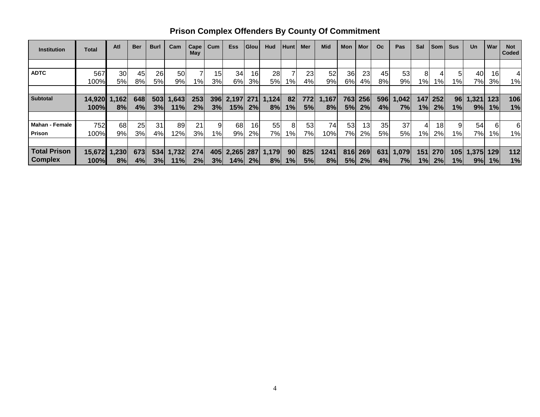| <b>Institution</b>    | Total  | Atl   | <b>Ber</b> | <b>Burl</b> | Cam   | Cape<br>May | Cum             | <b>Ess</b> | <b>Glou</b>     | Hud   | <b>Hunt</b> | Mer | <b>Mid</b> | Mon | Mor | O <sub>c</sub> | Pas   | Sal   | <b>Som</b>      | <b>Sus</b> | <b>Un</b> | War | <b>Not</b><br>Coded |
|-----------------------|--------|-------|------------|-------------|-------|-------------|-----------------|------------|-----------------|-------|-------------|-----|------------|-----|-----|----------------|-------|-------|-----------------|------------|-----------|-----|---------------------|
|                       |        |       |            |             |       |             |                 |            |                 |       |             |     |            |     |     |                |       |       |                 |            |           |     |                     |
| <b>ADTC</b>           | 567    | 30    | 45         | 26          | 50    |             | 15 <sup>1</sup> | 34         | 16              | 28    |             | 23  | 52         | 36  | 23  | 45             | 53    |       |                 |            | 40        | 16  |                     |
|                       | 100%   | 5%    | 8%l        | 5%l         | 9%    | $1\%$       | 3%              | 6%         | 3%              | 5%    | $1\%$       | 4%  | 9%         | 6%  | 4%  | 8%             | 9%    | 1%l   | $1\%$           | $1\%$      | 7%l       | 3%  | $1\%$               |
|                       |        |       |            |             |       |             |                 |            |                 |       |             |     |            |     |     |                |       |       |                 |            |           |     |                     |
| <b>Subtotal</b>       | 14,920 | 1,162 | 648        | 503         | 1,643 | 253         | 396             | 2,197      | 271             | 1,124 | 82          | 772 | 1,167      | 763 | 256 | 596            | 1,042 | 147   | 252             | 96         | 1,321     | 123 | 106                 |
|                       | 100%   | 8%    | 4%         | 3%          | 11%   | 2%          | 3%              | 15%        | 2%              | 8%    | 1%          | 5%  | 8%         | 5%  | 2%  | 4%             | 7%    | 1%    | 2%              | $1\%$      | 9%        | 1%  | 1%                  |
|                       |        |       |            |             |       |             |                 |            |                 |       |             |     |            |     |     |                |       |       |                 |            |           |     |                     |
| <b>Mahan - Female</b> | 752    | 68    | 25         | 31          | 89    | 21          | 9               | 68         | 16 <sub>1</sub> | 55    | 8           | 53  | 74         | 53  | 13  | 35             | 37    |       | 18 <sub>1</sub> |            | 54        |     | 6                   |
| Prison                | 100%   | 9%    | 3%         | 4%          | 12%   | 3%          | 1%              | 9%         | 2%              | 7%l   | 1%          | 7%  | 10%        | 7%l | 2%  | 5%             | 5%    | $1\%$ | 2%              | 1%         | 7%        | 1%  | 1%                  |
|                       |        |       |            |             |       |             |                 |            |                 |       |             |     |            |     |     |                |       |       |                 |            |           |     |                     |
| <b>Total Prison</b>   | 15,672 | 1,230 | 673        | 534         | 1,732 | 274         | 405             | 2,265      | 287             | 1,179 | 90          | 825 | 1241       | 816 | 269 | 631            | 1,079 | 151   | 270             | 105        | 1,375     | 129 | 112                 |
| <b>Complex</b>        | 100%   | 8%    | 4%         | 3%          | 11%   | 2%          | 3%              | 14%        | 2%              | 8%    | 1%          | 5%  | 8%         | 5%  | 2%  | 4%             | 7%    | 1%    | 2%              | 1%         | 9%        | 1%  | 1%                  |

**Prison Complex Offenders By County Of Commitment**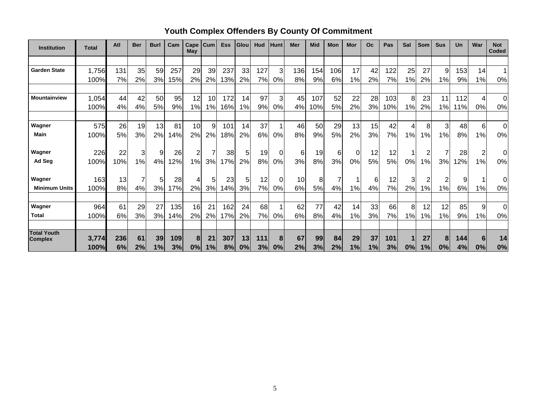| <b>Institution</b>                   | <b>Total</b> | Atl | <b>Ber</b> | <b>Burl</b> | Cam | Cape<br>May | Cum | <b>Ess</b> | Glou  | Hud | Hunt | Mer | <b>Mid</b> | <b>Mon</b> | Mor | O <sub>c</sub> | Pas | Sal | <b>Som</b>    | <b>Sus</b> | <b>Un</b> | War            | <b>Not</b><br><b>Coded</b> |
|--------------------------------------|--------------|-----|------------|-------------|-----|-------------|-----|------------|-------|-----|------|-----|------------|------------|-----|----------------|-----|-----|---------------|------------|-----------|----------------|----------------------------|
|                                      |              |     |            |             |     |             |     |            |       |     |      |     |            |            |     |                |     |     |               |            |           |                |                            |
| <b>Garden State</b>                  | 1,756        | 131 | 35         | 59          | 257 | 29          | 39  | 237        | 33    | 127 | 3    | 136 | 154        | 106        | 17  | 42             | 122 | 25  | 27            | 9          | 153       | 14             | $\blacktriangleleft$       |
|                                      | 100%         | 7%  | 2%         | 3%          | 15% | 2%          | 2%  | 13%        | 2%    | 7%  | 0%   | 8%  | 9%         | 6%         | 1%  | 2%             | 7%  | 1%  | 2%            | 1%         | 9%        | 1%             | 0%                         |
|                                      |              |     |            |             |     |             |     |            |       |     |      |     |            |            |     |                |     |     |               |            |           |                |                            |
| Mountainview                         | 1,054        | 44  | 42         | 50          | 95  | 12          | 10  | 172        | 14    | 97  | 3    | 45  | 107        | 52         | 22  | 28             | 103 | 8   | 23            | 11         | 112       | 4              | $\overline{0}$             |
|                                      | 100%         | 4%  | 4%         | 5%          | 9%  | 1%          | 1%  | 16%        | $1\%$ | 9%  | 0%   | 4%  | 10%        | 5%         | 2%  | 3%             | 10% | 1%  | 2%            | 1%         | 11%       | 0%             | 0%                         |
|                                      |              |     |            |             |     |             |     |            |       |     |      |     |            |            |     |                |     |     |               |            |           |                |                            |
| Wagner                               | 575          | 26  | 19         | 13          | 81  | 10          | 9   | 101        | 14    | 37  |      | 46  | 50         | 29         | 13  | 15             | 42  |     | 8             | 3          | 48        | $6 \mid$       | 0                          |
| Main                                 | 100%         | 5%  | 3%         | 2%          | 14% | 2%          | 2%  | 18%        | 2%    | 6%  | 0%   | 8%  | 9%         | 5%         | 2%  | 3%             | 7%  | 1%  | $\frac{9}{6}$ | 1%         | 8%        | 1%             | 0%                         |
|                                      |              |     |            |             |     |             |     |            |       |     |      |     |            |            |     |                |     |     |               |            |           |                |                            |
| Wagner                               | 226          | 22  | 3          | 9           | 26  | 2           |     | 38         | 5     | 19  | 0    | 6   | 19         | 6          | 0   | 12             | 12  |     | 2             | 7          | 28        | $\overline{c}$ | 0                          |
| Ad Seg                               | 100%         | 10% | 1%         | 4%          | 12% | 1%          | 3%  | 17%        | 2%    | 8%  | 0%   | 3%  | 8%         | 3%         | 0%  | 5%             | 5%  | 0%  | $1\%$         | 3%         | 12%       | 1%             | 0%                         |
| Wagner                               | 163          | 13  |            | 5           | 28  | 4           | 5   | 23         | 5     | 12  | 0    | 10  | 8          |            |     | 6              | 12  | 31  |               | 2          | 9         |                | 0                          |
| <b>Minimum Units</b>                 | 100%         | 8%  | 4%         | 3%          | 17% | 2%          | 3%  | 14%        | 3%    | 7%  | 0%   | 6%  | 5%         | 4%         | 1%  | 4%             | 7%  | 2%  | 1%            | 1%         | 6%        | 1%             | 0%                         |
|                                      |              |     |            |             |     |             |     |            |       |     |      |     |            |            |     |                |     |     |               |            |           |                |                            |
| Wagner                               | 964          | 61  | 29         | 27          | 135 | 16          | 21  | 162        | 24    | 68  |      | 62  | 77         | 42         | 14  | 33             | 66  | 8   | 12            | 12         | 85        | 9              | $\Omega$                   |
| <b>Total</b>                         | 100%         | 6%  | 3%         | 3%          | 14% | 2%          | 2%  | 17%        | 2%    | 7%  | 0%   | 6%  | 8%         | 4%         | 1%  | 3%             | 7%  | 1%  | 1%            | 1%         | 9%        | 1%             | 0%                         |
|                                      |              |     |            |             |     |             |     |            |       |     |      |     |            |            |     |                |     |     |               |            |           |                |                            |
| <b>Total Youth</b><br><b>Complex</b> | 3,774        | 236 | 61         | 39          | 109 | 8           | 21  | 307        | 13    | 111 | 8    | 67  | 99         | 84         | 29  | 37             | 101 |     | 27            | 8          | 144       | 6              | 14                         |
|                                      | 100%         | 6%  | 2%         | 1%          | 3%  | 0%          | 1%  | 8%         | 0%    | 3%  | 0%   | 2%  | 3%         | 2%         | 1%  | 1%             | 3%  | 0%  | 1%            | 0%         | 4%        | 0%             | 0%                         |

# **Youth Complex Offenders By County Of Commitment**